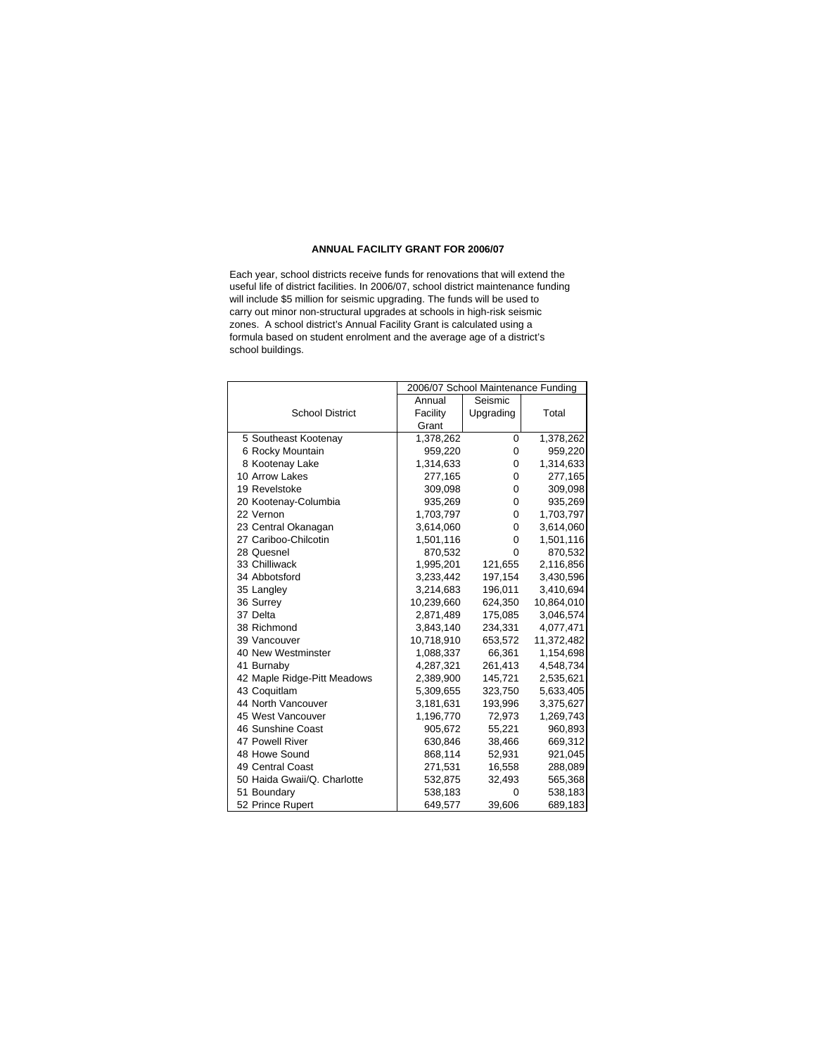## **ANNUAL FACILITY GRANT FOR 2006/07**

school buildings. Each year, school districts receive funds for renovations that will extend the useful life of district facilities. In 2006/07, school district maintenance funding will include \$5 million for seismic upgrading. The funds will be used to carry out minor non-structural upgrades at schools in high-risk seismic zones. A school district's Annual Facility Grant is calculated using a formula based on student enrolment and the average age of a district's

|                             | 2006/07 School Maintenance Funding |           |            |
|-----------------------------|------------------------------------|-----------|------------|
|                             | Annual                             | Seismic   |            |
| <b>School District</b>      | Facility                           | Upgrading | Total      |
|                             | Grant                              |           |            |
| 5 Southeast Kootenay        | 1,378,262                          | 0         | 1,378,262  |
| 6 Rocky Mountain            | 959,220                            | 0         | 959,220    |
| 8 Kootenay Lake             | 1,314,633                          | 0         | 1,314,633  |
| 10 Arrow Lakes              | 277,165                            | 0         | 277,165    |
| 19 Revelstoke               | 309,098                            | 0         | 309,098    |
| 20 Kootenay-Columbia        | 935,269                            | 0         | 935,269    |
| 22 Vernon                   | 1,703,797                          | 0         | 1,703,797  |
| 23 Central Okanagan         | 3,614,060                          | 0         | 3,614,060  |
| 27 Cariboo-Chilcotin        | 1,501,116                          | 0         | 1,501,116  |
| 28 Quesnel                  | 870,532                            | 0         | 870,532    |
| 33 Chilliwack               | 1,995,201                          | 121,655   | 2,116,856  |
| 34 Abbotsford               | 3,233,442                          | 197,154   | 3,430,596  |
| 35 Langley                  | 3,214,683                          | 196,011   | 3,410,694  |
| 36 Surrey                   | 10,239,660                         | 624,350   | 10,864,010 |
| 37 Delta                    | 2,871,489                          | 175,085   | 3,046,574  |
| 38 Richmond                 | 3,843,140                          | 234,331   | 4,077,471  |
| 39 Vancouver                | 10,718,910                         | 653,572   | 11,372,482 |
| 40 New Westminster          | 1,088,337                          | 66,361    | 1,154,698  |
| 41 Burnaby                  | 4,287,321                          | 261,413   | 4,548,734  |
| 42 Maple Ridge-Pitt Meadows | 2,389,900                          | 145,721   | 2,535,621  |
| 43 Coquitlam                | 5,309,655                          | 323,750   | 5,633,405  |
| 44 North Vancouver          | 3,181,631                          | 193,996   | 3,375,627  |
| 45 West Vancouver           | 1,196,770                          | 72,973    | 1,269,743  |
| 46 Sunshine Coast           | 905,672                            | 55,221    | 960,893    |
| 47 Powell River             | 630,846                            | 38,466    | 669,312    |
| 48 Howe Sound               | 868,114                            | 52,931    | 921,045    |
| 49 Central Coast            | 271,531                            | 16,558    | 288,089    |
| 50 Haida Gwaii/Q. Charlotte | 532,875                            | 32,493    | 565,368    |
| 51 Boundary                 | 538,183                            | 0         | 538,183    |
| 52 Prince Rupert            | 649,577                            | 39,606    | 689,183    |